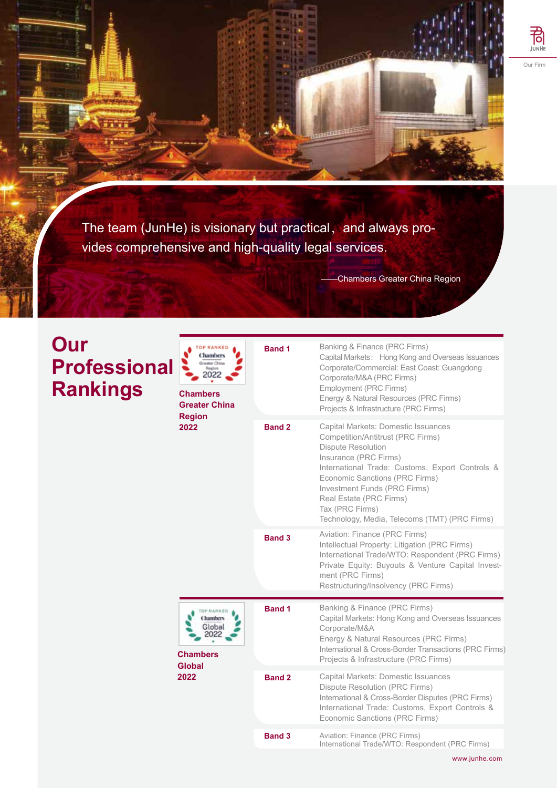

The team (JunHe) is visionary but practical, and always provides comprehensive and high-quality legal services.

-Chambers Greater China Region

## **Our Professional Rankings**

| <b>TOP RANKED</b><br>Chambers<br>Greater China<br>Region<br>2022<br><b>Chambers</b><br><b>Greater China</b><br><b>Region</b><br>2022 | <b>Band 1</b> | Banking & Finance (PRC Firms)<br>Capital Markets: Hong Kong and Overseas Issuances<br>Corporate/Commercial: East Coast: Guangdong<br>Corporate/M&A (PRC Firms)<br>Employment (PRC Firms)<br>Energy & Natural Resources (PRC Firms)<br>Projects & Infrastructure (PRC Firms)                                                                        |
|--------------------------------------------------------------------------------------------------------------------------------------|---------------|----------------------------------------------------------------------------------------------------------------------------------------------------------------------------------------------------------------------------------------------------------------------------------------------------------------------------------------------------|
|                                                                                                                                      | <b>Band 2</b> | Capital Markets: Domestic Issuances<br>Competition/Antitrust (PRC Firms)<br><b>Dispute Resolution</b><br>Insurance (PRC Firms)<br>International Trade: Customs, Export Controls &<br>Economic Sanctions (PRC Firms)<br>Investment Funds (PRC Firms)<br>Real Estate (PRC Firms)<br>Tax (PRC Firms)<br>Technology, Media, Telecoms (TMT) (PRC Firms) |
|                                                                                                                                      | <b>Band 3</b> | Aviation: Finance (PRC Firms)<br>Intellectual Property: Litigation (PRC Firms)<br>International Trade/WTO: Respondent (PRC Firms)<br>Private Equity: Buyouts & Venture Capital Invest-<br>ment (PRC Firms)<br>Restructuring/Insolvency (PRC Firms)                                                                                                 |
| <b>TOP RANKED</b><br>Chambers<br>Global<br><b>Chambers</b><br><b>Global</b><br>2022                                                  | <b>Band 1</b> | Banking & Finance (PRC Firms)<br>Capital Markets: Hong Kong and Overseas Issuances<br>Corporate/M&A<br>Energy & Natural Resources (PRC Firms)<br>International & Cross-Border Transactions (PRC Firms)<br>Projects & Infrastructure (PRC Firms)                                                                                                    |
|                                                                                                                                      | Band 2        | Capital Markets: Domestic Issuances<br>Dispute Resolution (PRC Firms)<br>International & Cross-Border Disputes (PRC Firms)<br>International Trade: Customs, Export Controls &<br>Economic Sanctions (PRC Firms)                                                                                                                                    |
|                                                                                                                                      | <b>Band 3</b> | Aviation: Finance (PRC Firms)<br>International Trade/WTO: Respondent (PRC Firms)                                                                                                                                                                                                                                                                   |

www.junhe.com